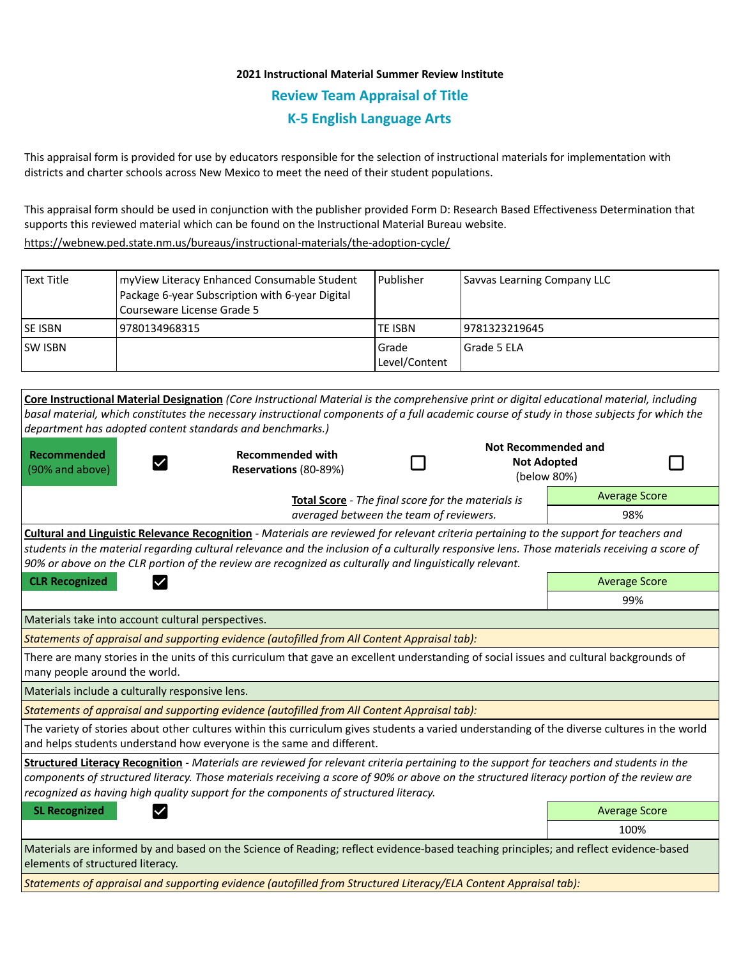## **2021 Instructional Material Summer Review Institute Review Team Appraisal of Title K-5 English Language Arts**

This appraisal form is provided for use by educators responsible for the selection of instructional materials for implementation with districts and charter schools across New Mexico to meet the need of their student populations.

This appraisal form should be used in conjunction with the publisher provided Form D: Research Based Effectiveness Determination that supports this reviewed material which can be found on the Instructional Material Bureau website.

<https://webnew.ped.state.nm.us/bureaus/instructional-materials/the-adoption-cycle/>

| <b>Text Title</b>                                                                             | myView Literacy Enhanced Consumable Student<br>Package 6-year Subscription with 6-year Digital<br>Courseware License Grade 5                                                                                                                                                                                                                                                                                                          | Publisher              | Savvas Learning Company LLC                      |                      |
|-----------------------------------------------------------------------------------------------|---------------------------------------------------------------------------------------------------------------------------------------------------------------------------------------------------------------------------------------------------------------------------------------------------------------------------------------------------------------------------------------------------------------------------------------|------------------------|--------------------------------------------------|----------------------|
| SE ISBN                                                                                       | 9780134968315                                                                                                                                                                                                                                                                                                                                                                                                                         | <b>TE ISBN</b>         | 9781323219645                                    |                      |
| <b>SW ISBN</b>                                                                                |                                                                                                                                                                                                                                                                                                                                                                                                                                       | Grade<br>Level/Content | Grade 5 ELA                                      |                      |
| Recommended<br>(90% and above)                                                                | Core Instructional Material Designation (Core Instructional Material is the comprehensive print or digital educational material, including<br>basal material, which constitutes the necessary instructional components of a full academic course of study in those subjects for which the<br>department has adopted content standards and benchmarks.)<br><b>Recommended with</b><br>$\vert\mathcal{V}\vert$<br>Reservations (80-89%) |                        | <b>Not Recommended and</b><br><b>Not Adopted</b> | (below 80%)          |
|                                                                                               |                                                                                                                                                                                                                                                                                                                                                                                                                                       |                        |                                                  | <b>Average Score</b> |
| Total Score - The final score for the materials is<br>averaged between the team of reviewers. |                                                                                                                                                                                                                                                                                                                                                                                                                                       |                        | 98%                                              |                      |
| <b>CLR Recognized</b>                                                                         | 90% or above on the CLR portion of the review are recognized as culturally and linguistically relevant.                                                                                                                                                                                                                                                                                                                               |                        |                                                  | <b>Average Score</b> |
|                                                                                               |                                                                                                                                                                                                                                                                                                                                                                                                                                       |                        |                                                  | 99%                  |
|                                                                                               | Materials take into account cultural perspectives.                                                                                                                                                                                                                                                                                                                                                                                    |                        |                                                  |                      |
|                                                                                               | Statements of appraisal and supporting evidence (autofilled from All Content Appraisal tab):                                                                                                                                                                                                                                                                                                                                          |                        |                                                  |                      |
| many people around the world.                                                                 | There are many stories in the units of this curriculum that gave an excellent understanding of social issues and cultural backgrounds of                                                                                                                                                                                                                                                                                              |                        |                                                  |                      |
|                                                                                               | Materials include a culturally responsive lens.                                                                                                                                                                                                                                                                                                                                                                                       |                        |                                                  |                      |
|                                                                                               | Statements of appraisal and supporting evidence (autofilled from All Content Appraisal tab):                                                                                                                                                                                                                                                                                                                                          |                        |                                                  |                      |
|                                                                                               | The variety of stories about other cultures within this curriculum gives students a varied understanding of the diverse cultures in the world<br>and helps students understand how everyone is the same and different.                                                                                                                                                                                                                |                        |                                                  |                      |
|                                                                                               | Structured Literacy Recognition - Materials are reviewed for relevant criteria pertaining to the support for teachers and students in the<br>components of structured literacy. Those materials receiving a score of 90% or above on the structured literacy portion of the review are<br>recognized as having high quality support for the components of structured literacy.                                                        |                        |                                                  |                      |
| <b>SL Recognized</b>                                                                          |                                                                                                                                                                                                                                                                                                                                                                                                                                       |                        |                                                  | <b>Average Score</b> |
|                                                                                               |                                                                                                                                                                                                                                                                                                                                                                                                                                       |                        |                                                  | 100%                 |
| elements of structured literacy.                                                              | Materials are informed by and based on the Science of Reading; reflect evidence-based teaching principles; and reflect evidence-based                                                                                                                                                                                                                                                                                                 |                        |                                                  |                      |

*Statements of appraisal and supporting evidence (autofilled from Structured Literacy/ELA Content Appraisal tab):*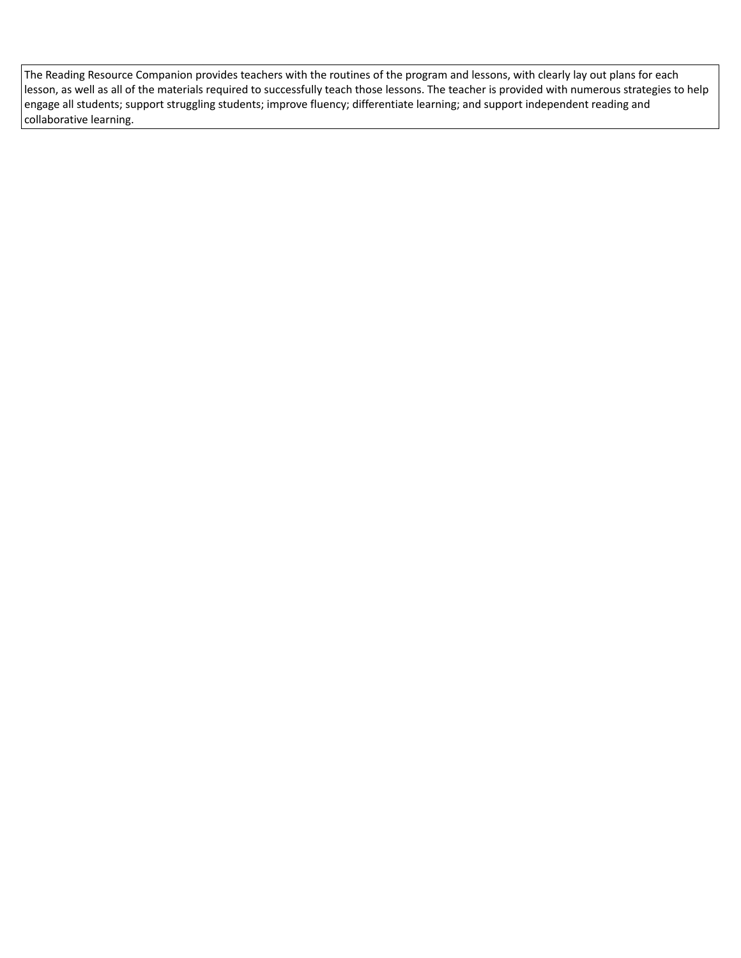The Reading Resource Companion provides teachers with the routines of the program and lessons, with clearly lay out plans for each lesson, as well as all of the materials required to successfully teach those lessons. The teacher is provided with numerous strategies to help engage all students; support struggling students; improve fluency; differentiate learning; and support independent reading and collaborative learning.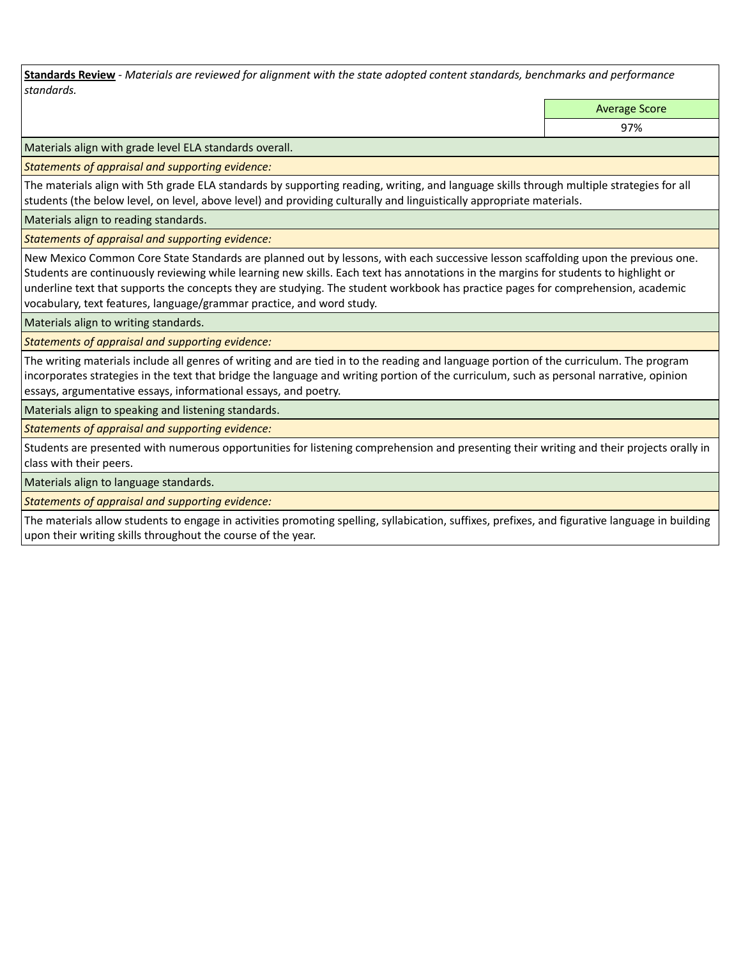**Standards Review** *- Materials are reviewed for alignment with the state adopted content standards, benchmarks and performance standards.*

Average Score

97%

Materials align with grade level ELA standards overall.

*Statements of appraisal and supporting evidence:* 

The materials align with 5th grade ELA standards by supporting reading, writing, and language skills through multiple strategies for all students (the below level, on level, above level) and providing culturally and linguistically appropriate materials.

Materials align to reading standards.

*Statements of appraisal and supporting evidence:* 

New Mexico Common Core State Standards are planned out by lessons, with each successive lesson scaffolding upon the previous one. Students are continuously reviewing while learning new skills. Each text has annotations in the margins for students to highlight or underline text that supports the concepts they are studying. The student workbook has practice pages for comprehension, academic vocabulary, text features, language/grammar practice, and word study.

Materials align to writing standards.

*Statements of appraisal and supporting evidence:* 

The writing materials include all genres of writing and are tied in to the reading and language portion of the curriculum. The program incorporates strategies in the text that bridge the language and writing portion of the curriculum, such as personal narrative, opinion essays, argumentative essays, informational essays, and poetry.

Materials align to speaking and listening standards.

*Statements of appraisal and supporting evidence:* 

Students are presented with numerous opportunities for listening comprehension and presenting their writing and their projects orally in class with their peers.

Materials align to language standards.

*Statements of appraisal and supporting evidence:* 

The materials allow students to engage in activities promoting spelling, syllabication, suffixes, prefixes, and figurative language in building upon their writing skills throughout the course of the year.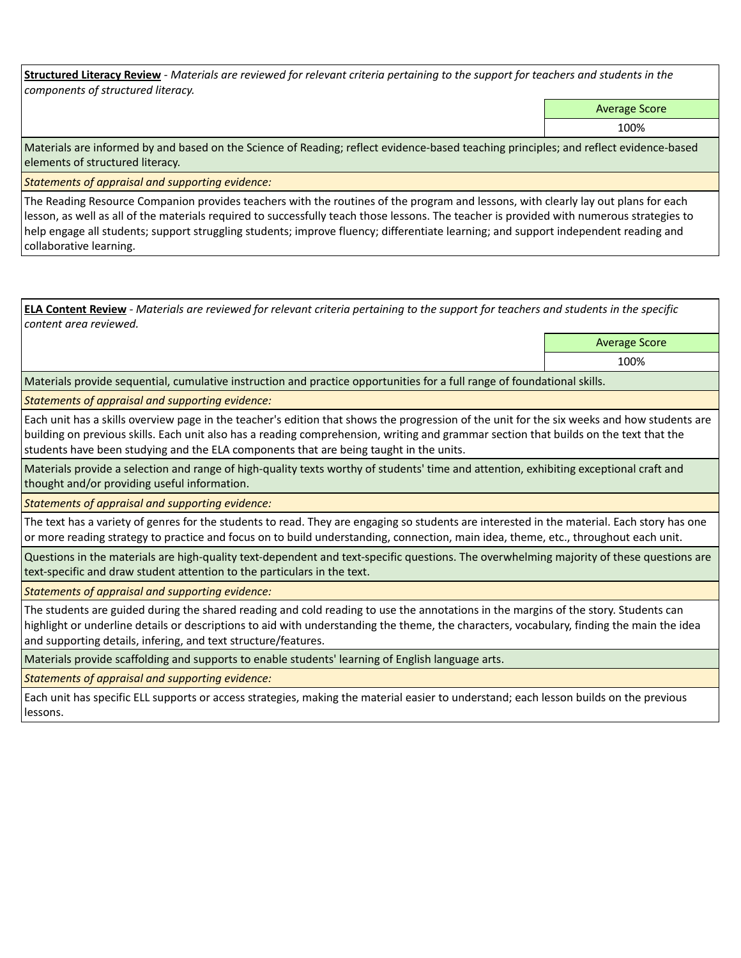**Structured Literacy Review** *- Materials are reviewed for relevant criteria pertaining to the support for teachers and students in the components of structured literacy.*

Average Score

100%

Materials are informed by and based on the Science of Reading; reflect evidence-based teaching principles; and reflect evidence-based elements of structured literacy.

*Statements of appraisal and supporting evidence:*

The Reading Resource Companion provides teachers with the routines of the program and lessons, with clearly lay out plans for each lesson, as well as all of the materials required to successfully teach those lessons. The teacher is provided with numerous strategies to help engage all students; support struggling students; improve fluency; differentiate learning; and support independent reading and collaborative learning.

**ELA Content Review** *- Materials are reviewed for relevant criteria pertaining to the support for teachers and students in the specific content area reviewed.*

Average Score

100%

Materials provide sequential, cumulative instruction and practice opportunities for a full range of foundational skills.

*Statements of appraisal and supporting evidence:* 

Each unit has a skills overview page in the teacher's edition that shows the progression of the unit for the six weeks and how students are building on previous skills. Each unit also has a reading comprehension, writing and grammar section that builds on the text that the students have been studying and the ELA components that are being taught in the units.

Materials provide a selection and range of high-quality texts worthy of students' time and attention, exhibiting exceptional craft and thought and/or providing useful information.

*Statements of appraisal and supporting evidence:* 

The text has a variety of genres for the students to read. They are engaging so students are interested in the material. Each story has one or more reading strategy to practice and focus on to build understanding, connection, main idea, theme, etc., throughout each unit.

Questions in the materials are high-quality text-dependent and text-specific questions. The overwhelming majority of these questions are text-specific and draw student attention to the particulars in the text.

*Statements of appraisal and supporting evidence:* 

The students are guided during the shared reading and cold reading to use the annotations in the margins of the story. Students can highlight or underline details or descriptions to aid with understanding the theme, the characters, vocabulary, finding the main the idea and supporting details, infering, and text structure/features.

Materials provide scaffolding and supports to enable students' learning of English language arts.

*Statements of appraisal and supporting evidence:* 

Each unit has specific ELL supports or access strategies, making the material easier to understand; each lesson builds on the previous lessons.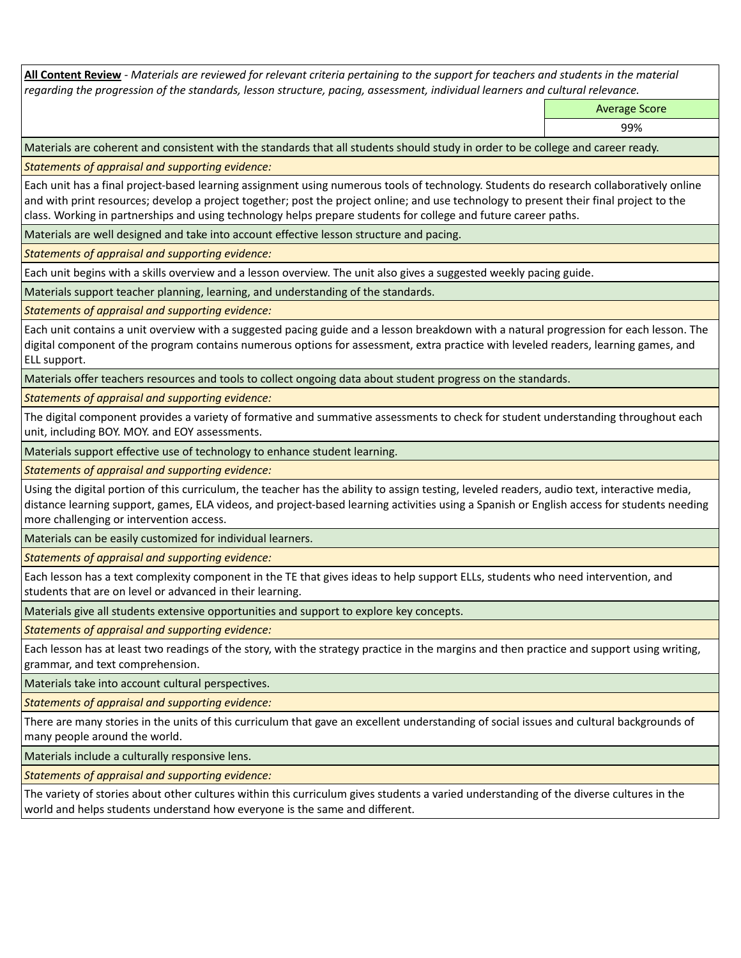**All Content Review** *- Materials are reviewed for relevant criteria pertaining to the support for teachers and students in the material regarding the progression of the standards, lesson structure, pacing, assessment, individual learners and cultural relevance.*

Average Score

99%

Materials are coherent and consistent with the standards that all students should study in order to be college and career ready.

*Statements of appraisal and supporting evidence:*

Each unit has a final project-based learning assignment using numerous tools of technology. Students do research collaboratively online and with print resources; develop a project together; post the project online; and use technology to present their final project to the class. Working in partnerships and using technology helps prepare students for college and future career paths.

Materials are well designed and take into account effective lesson structure and pacing.

*Statements of appraisal and supporting evidence:*

Each unit begins with a skills overview and a lesson overview. The unit also gives a suggested weekly pacing guide.

Materials support teacher planning, learning, and understanding of the standards.

*Statements of appraisal and supporting evidence:*

Each unit contains a unit overview with a suggested pacing guide and a lesson breakdown with a natural progression for each lesson. The digital component of the program contains numerous options for assessment, extra practice with leveled readers, learning games, and ELL support.

Materials offer teachers resources and tools to collect ongoing data about student progress on the standards.

*Statements of appraisal and supporting evidence:*

The digital component provides a variety of formative and summative assessments to check for student understanding throughout each unit, including BOY. MOY. and EOY assessments.

Materials support effective use of technology to enhance student learning.

*Statements of appraisal and supporting evidence:*

Using the digital portion of this curriculum, the teacher has the ability to assign testing, leveled readers, audio text, interactive media, distance learning support, games, ELA videos, and project-based learning activities using a Spanish or English access for students needing more challenging or intervention access.

Materials can be easily customized for individual learners.

*Statements of appraisal and supporting evidence:* 

Each lesson has a text complexity component in the TE that gives ideas to help support ELLs, students who need intervention, and students that are on level or advanced in their learning.

Materials give all students extensive opportunities and support to explore key concepts.

*Statements of appraisal and supporting evidence:*

Each lesson has at least two readings of the story, with the strategy practice in the margins and then practice and support using writing, grammar, and text comprehension.

Materials take into account cultural perspectives.

*Statements of appraisal and supporting evidence:*

There are many stories in the units of this curriculum that gave an excellent understanding of social issues and cultural backgrounds of many people around the world.

Materials include a culturally responsive lens.

*Statements of appraisal and supporting evidence:*

The variety of stories about other cultures within this curriculum gives students a varied understanding of the diverse cultures in the world and helps students understand how everyone is the same and different.